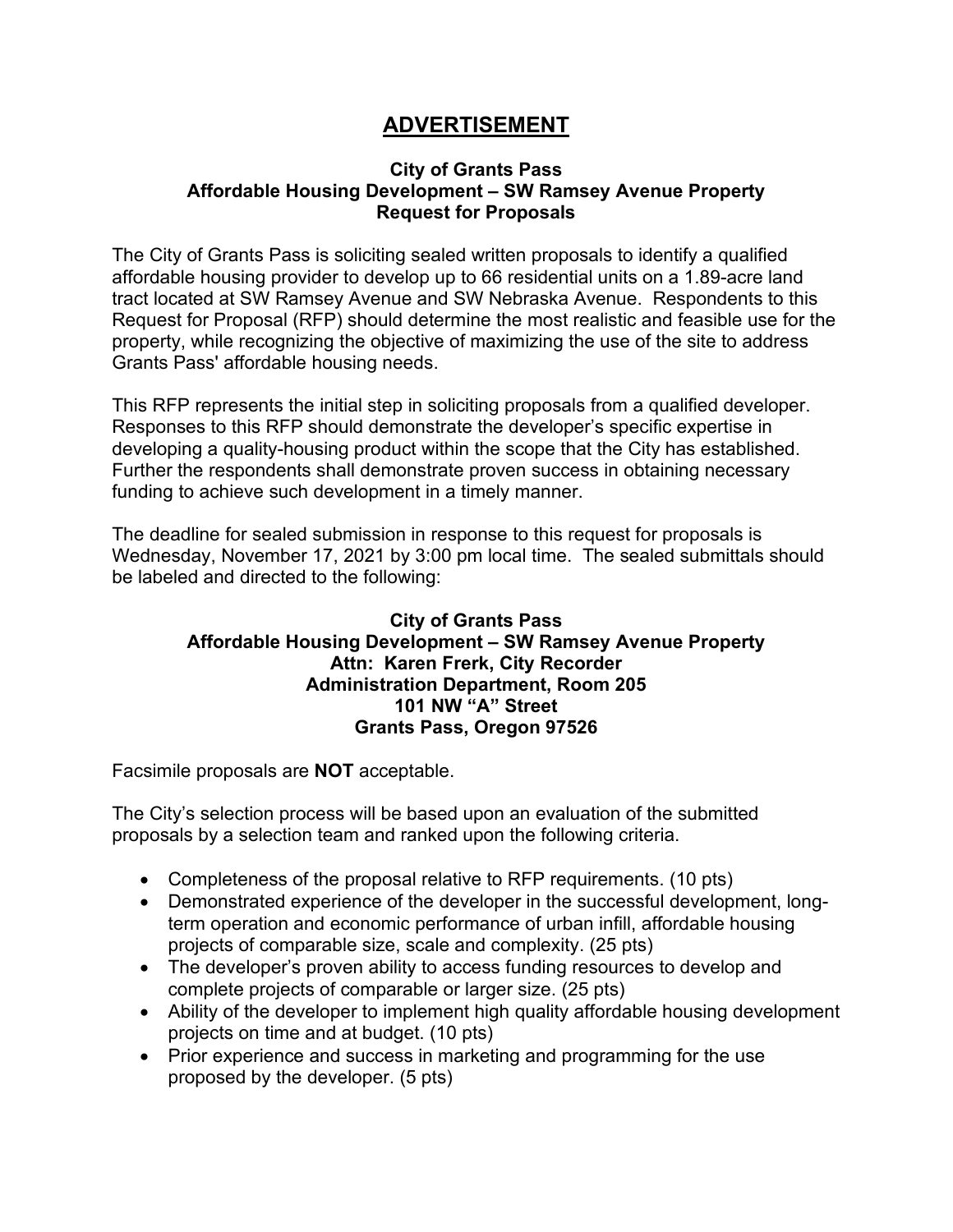## **ADVERTISEMENT**

## **City of Grants Pass Affordable Housing Development – SW Ramsey Avenue Property Request for Proposals**

The City of Grants Pass is soliciting sealed written proposals to identify a qualified affordable housing provider to develop up to 66 residential units on a 1.89-acre land tract located at SW Ramsey Avenue and SW Nebraska Avenue. Respondents to this Request for Proposal (RFP) should determine the most realistic and feasible use for the property, while recognizing the objective of maximizing the use of the site to address Grants Pass' affordable housing needs.

This RFP represents the initial step in soliciting proposals from a qualified developer. Responses to this RFP should demonstrate the developer's specific expertise in developing a quality-housing product within the scope that the City has established. Further the respondents shall demonstrate proven success in obtaining necessary funding to achieve such development in a timely manner.

The deadline for sealed submission in response to this request for proposals is Wednesday, November 17, 2021 by 3:00 pm local time. The sealed submittals should be labeled and directed to the following:

## **City of Grants Pass Affordable Housing Development – SW Ramsey Avenue Property Attn: Karen Frerk, City Recorder Administration Department, Room 205 101 NW "A" Street Grants Pass, Oregon 97526**

Facsimile proposals are **NOT** acceptable.

The City's selection process will be based upon an evaluation of the submitted proposals by a selection team and ranked upon the following criteria.

- Completeness of the proposal relative to RFP requirements. (10 pts)
- Demonstrated experience of the developer in the successful development, longterm operation and economic performance of urban infill, affordable housing projects of comparable size, scale and complexity. (25 pts)
- The developer's proven ability to access funding resources to develop and complete projects of comparable or larger size. (25 pts)
- Ability of the developer to implement high quality affordable housing development projects on time and at budget. (10 pts)
- Prior experience and success in marketing and programming for the use proposed by the developer. (5 pts)